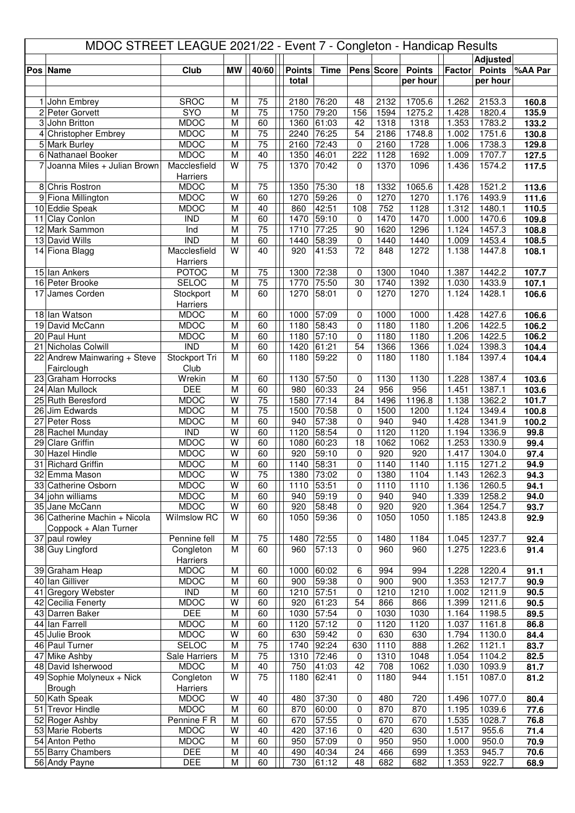| <b>Adjusted</b><br>Club<br><b>MW</b><br>40/60<br><b>Points</b><br>%AA Par<br><b>Time</b><br>Pens Score<br><b>Points</b><br>Factor<br><b>Points</b><br>Pos Name<br>total<br>per hour<br>per hour<br>75<br><b>SROC</b><br>M<br>76:20<br>2132<br>1705.6<br>1.262<br>2153.3<br>1 John Embrey<br>2180<br>48<br>160.8<br>SYO<br>M<br>75<br>79:20<br>2 Peter Gorvett<br>1750<br>156<br>1594<br>1275.2<br>1.428<br>1820.4<br>135.9<br>3 John Britton<br><b>MDOC</b><br>M<br>61:03<br>1318<br>1.353<br>1783.2<br>133.2<br>60<br>1360<br>42<br>1318<br>1751.6<br><b>MDOC</b><br>M<br>75<br>2240<br>76:25<br>54<br>1748.8<br>2186<br>1.002<br>130.8<br>4 Christopher Embrey<br>75<br><b>MDOC</b><br>$\overline{M}$<br>1728<br>1738.3<br>129.8<br>5 Mark Burley<br>2160<br>72:43<br>0<br>2160<br>1.006<br><b>MDOC</b><br>M<br>40<br>222<br>1692<br>1707.7<br>6 Nathanael Booker<br>1350<br>46:01<br>1128<br>1.009<br>127.5<br>Joanna Miles + Julian Brown<br>Macclesfield<br>W<br>$\overline{75}$<br>1096<br>1370<br>70:42<br>1370<br>1.436<br>1574.2<br>117.5<br>7<br>0<br>Harriers<br><b>MDOC</b><br>8 Chris Rostron<br>75<br>1350<br>75:30<br>1332<br>1065.6<br>1521.2<br>113.6<br>M<br>18<br>1.428<br>$\overline{\mathsf{W}}$<br><b>MDOC</b><br>60<br>59:26<br>1270<br>1270<br>9 Fiona Millington<br>1270<br>$\mathbf 0$<br>1.176<br>1493.9<br>111.6<br><b>MDOC</b><br>40<br>108<br>752<br>1128<br>1.312<br>10 Eddie Speak<br>M<br>860<br>42:51<br>1480.1<br>110.5<br>M<br>60<br>59:10<br>1470<br>1470<br>109.8<br>11 Clay Conlon<br><b>IND</b><br>1470<br>1.000<br>1470.6<br>0<br>$\overline{75}$<br>77:25<br>90<br>1296<br>12 Mark Sammon<br>Ind<br>M<br>1710<br>1620<br>1.124<br>1457.3<br>108.8<br>$\overline{\mathsf{M}}$<br><b>IND</b><br>60<br>58:39<br>108.5<br>13 David Wills<br>1440<br>0<br>1440<br>1440<br>1.009<br>1453.4<br>Macclesfield<br>W<br>40<br>41:53<br>72<br>1272<br>14 Fiona Blagg<br>920<br>848<br>1.138<br>1447.8<br>108.1<br>Harriers<br>$\overline{75}$<br>15 Ian Ankers<br><b>POTOC</b><br>M<br>72:38<br>1300<br>1040<br>1442.2<br>1300<br>$\mathbf 0$<br>1.387<br>107.7<br>75<br>16 Peter Brooke<br><b>SELOC</b><br>$\overline{M}$<br>75:50<br>$\overline{30}$<br>1392<br>107.1<br>1770<br>1740<br>1.030<br>1433.9<br>M<br>60<br>1270<br>1270<br>Stockport<br>58:01<br>$\Omega$<br>1270<br>1.124<br>1428.1<br>17<br>James Corden<br>106.6<br>Harriers<br>18 Ian Watson<br><b>MDOC</b><br>M<br>60<br>1000<br>57:09<br>1000<br>1000<br>1.428<br>1427.6<br>106.6<br>0<br><b>MDOC</b><br>58:43<br>1180<br>1422.5<br>19 David McCann<br>M<br>60<br>1180<br>0<br>1180<br>1.206<br>106.2<br><b>MDOC</b><br>60<br>57:10<br>0<br>1180<br>1422.5<br>20 Paul Hunt<br>M<br>1180<br>1180<br>1.206<br>106.2<br><b>IND</b><br>M<br>60<br>54<br>21 Nicholas Colwill<br>1420<br>61:21<br>1366<br>1366<br>1.024<br>1398.3<br>104.4<br>60<br>1397.4<br>22 Andrew Mainwaring + Steve<br>Stockport Tri<br>M<br>1180<br>59:22<br>$\Omega$<br>1180<br>1180<br>104.4<br>1.184<br>Fairclough<br>Club<br>23 Graham Horrocks<br>Wrekin<br>M<br>60<br>57:50<br>1130<br>1387.4<br>103.6<br>1130<br>0<br>1130<br>1.228<br><b>DEE</b><br>M<br>60<br>60:33<br>24<br>956<br>956<br>1387.1<br>103.6<br>24 Alan Mullock<br>980<br>1.451<br>75<br>77:14<br><b>MDOC</b><br>$\overline{\mathsf{W}}$<br>1580<br>1196.8<br>1362.2<br>25 Ruth Beresford<br>84<br>1496<br>1.138<br>101.7<br>$\overline{75}$<br><b>MDOC</b><br>M<br>26 Jim Edwards<br>1500<br>70:58<br>0<br>1500<br>1200<br>1.124<br>1349.4<br>100.8<br>27 Peter Ross<br>M<br>60<br>57:38<br>940<br>940<br>1341.9<br><b>MDOC</b><br>940<br>0<br>1.428<br>100.2<br><b>IND</b><br>W<br>60<br>1120<br>58:54<br>1120<br>1336.9<br>28 Rachel Munday<br>0<br>1120<br>1.194<br>99.8<br>W<br>60<br>29 Clare Griffin<br><b>MDOC</b><br>1080<br>60:23<br>18<br>1062<br>1062<br>1.253<br>1330.9<br>99.4<br><b>MDOC</b><br>$\overline{\mathsf{W}}$<br>59:10<br>920<br>30 Hazel Hindle<br>60<br>920<br>0<br>920<br>1.417<br>1304.0<br>97.4<br>M<br>0<br>31 Richard Griffin<br><b>MDOC</b><br>60<br>1140<br>58:31<br>1140<br>1140<br>1.115<br>1271.2<br>94.9<br><b>MDOC</b><br>1262.3<br>32 Emma Mason<br>W<br>1380<br>73:02<br>1380<br>1104<br>94.3<br>75<br>0<br>1.143<br>33 Catherine Osborn<br><b>MDOC</b><br>W<br>60<br>53:51<br>0<br>1110<br>1110<br>1260.5<br>1110<br>1.136<br>94.1<br>34 john williams<br><b>MDOC</b><br>M<br>60<br>59:19<br>940<br>940<br>1.339<br>1258.2<br>940<br>0<br>94.0<br><b>MDOC</b><br>W<br>60<br>920<br>35 Jane McCann<br>920<br>58:48<br>920<br>1.364<br>1254.7<br>0<br>93.7<br>36 Catherine Machin + Nicola<br>W<br>Wilmslow RC<br>60<br>1050<br>59:36<br>1050<br>1243.8<br>$\mathbf 0$<br>1050<br>1.185<br>92.9<br>Coppock + Alan Turner<br>37 paul rowley<br>75<br>72:55<br>1237.7<br>Pennine fell<br>M<br>1480<br>0<br>1480<br>1184<br>1.045<br>92.4<br>38 Guy Lingford<br>M<br>60<br>57:13<br>$\Omega$<br>960<br>1.275<br>91.4<br>Congleton<br>960<br>960<br>1223.6<br>Harriers<br><b>MDOC</b><br>60:02<br>994<br>994<br>1220.4<br>39 Graham Heap<br>M<br>60<br>1000<br>6<br>1.228<br>91.1<br>59:38<br>40 Ian Gilliver<br><b>MDOC</b><br>M<br>60<br>$\pmb{0}$<br>900<br>900<br>1.353<br>1217.7<br>90.9<br>900<br>$\overline{\text{IND}}$<br>$\overline{M}$<br>57:51<br>41 Gregory Webster<br>60<br>0<br>1210<br>1210<br>1211.9<br>90.5<br>1210<br>1.002<br><b>MDOC</b><br>W<br>61:23<br>54<br>1211.6<br>42 Cecilia Fenerty<br>60<br>920<br>866<br>866<br>1.399<br>90.5<br><b>DEE</b><br>M<br>60<br>1030<br>57:54<br>1030<br>1.164<br>1198.5<br>89.5<br>43 Darren Baker<br>0<br>1030<br>44 Ian Farrell<br><b>MDOC</b><br>M<br>60<br>1120<br>57:12<br>1120<br>1120<br>1161.8<br>0<br>1.037<br>86.8<br><b>MDOC</b><br>45 Julie Brook<br>W<br>60<br>630<br>630<br>630<br>59:42<br>0<br>1.794<br>1130.0<br>84.4<br><b>SELOC</b><br>92:24<br>46 Paul Turner<br>M<br>75<br>1740<br>888<br>1121.1<br>83.7<br>630<br>1110<br>1.262<br>47 Mike Ashby<br>Sale Harriers<br>M<br>75<br>1310<br>72:46<br>1310<br>1048<br>1104.2<br>82.5<br>1.054<br>0<br><b>MDOC</b><br>$\overline{M}$<br>$\overline{42}$<br>48 David Isherwood<br>40<br>750<br>41:03<br>708<br>1062<br>1093.9<br>1.030<br>81.7<br>W<br>75<br>49 Sophie Molyneux + Nick<br>Congleton<br>62:41<br>1180<br>944<br>1087.0<br>1180<br>$\mathbf 0$<br>1.151<br>81.2<br>Brough<br>Harriers<br>50 Kath Speak<br><b>MDOC</b><br>37:30<br>720<br>1077.0<br>W<br>40<br>480<br>0<br>480<br>1.496<br>80.4<br>60<br>870<br>51 Trevor Hindle<br><b>MDOC</b><br>M<br>60:00<br>870<br>1039.6<br>870<br>0<br>1.195<br>77.6<br>57:55<br>52 Roger Ashby<br>Pennine F R<br>M<br>60<br>670<br>670<br>1.535<br>1028.7<br>76.8<br>670<br>0<br>53 Marie Roberts<br><b>MDOC</b><br>W<br>37:16<br>0<br>420<br>1.517<br>955.6<br>71.4<br>40<br>420<br>630<br><b>MDOC</b><br>54 Anton Petho<br>M<br>60<br>950<br>57:09<br>$\mathbf 0$<br>950<br>950<br>1.000<br>950.0<br>70.9<br><b>DEE</b><br>55 Barry Chambers<br>M<br>40<br>490<br>40:34<br>24<br>466<br>699<br>1.353<br>945.7<br>70.6<br><b>DEE</b><br>M<br>60<br>48<br>1.353<br>56 Andy Payne<br>730<br>61:12<br>682<br>682<br>922.7<br>68.9 |  |  |  |  |  | MDOC STREET LEAGUE 2021/22 - Event 7 - Congleton - Handicap Results |  |  |  |  |  |  |  |  |
|-----------------------------------------------------------------------------------------------------------------------------------------------------------------------------------------------------------------------------------------------------------------------------------------------------------------------------------------------------------------------------------------------------------------------------------------------------------------------------------------------------------------------------------------------------------------------------------------------------------------------------------------------------------------------------------------------------------------------------------------------------------------------------------------------------------------------------------------------------------------------------------------------------------------------------------------------------------------------------------------------------------------------------------------------------------------------------------------------------------------------------------------------------------------------------------------------------------------------------------------------------------------------------------------------------------------------------------------------------------------------------------------------------------------------------------------------------------------------------------------------------------------------------------------------------------------------------------------------------------------------------------------------------------------------------------------------------------------------------------------------------------------------------------------------------------------------------------------------------------------------------------------------------------------------------------------------------------------------------------------------------------------------------------------------------------------------------------------------------------------------------------------------------------------------------------------------------------------------------------------------------------------------------------------------------------------------------------------------------------------------------------------------------------------------------------------------------------------------------------------------------------------------------------------------------------------------------------------------------------------------------------------------------------------------------------------------------------------------------------------------------------------------------------------------------------------------------------------------------------------------------------------------------------------------------------------------------------------------------------------------------------------------------------------------------------------------------------------------------------------------------------------------------------------------------------------------------------------------------------------------------------------------------------------------------------------------------------------------------------------------------------------------------------------------------------------------------------------------------------------------------------------------------------------------------------------------------------------------------------------------------------------------------------------------------------------------------------------------------------------------------------------------------------------------------------------------------------------------------------------------------------------------------------------------------------------------------------------------------------------------------------------------------------------------------------------------------------------------------------------------------------------------------------------------------------------------------------------------------------------------------------------------------------------------------------------------------------------------------------------------------------------------------------------------------------------------------------------------------------------------------------------------------------------------------------------------------------------------------------------------------------------------------------------------------------------------------------------------------------------------------------------------------------------------------------------------------------------------------------------------------------------------------------------------------------------------------------------------------------------------------------------------------------------------------------------------------------------------------------------------------------------------------------------------------------------------------------------------------------------------------------------------------------------------------------------------------------------------------------------------------------------------------------------------------------------------------------------------------------------------------------------------------------------------------------------------------------------------------------------------------------------------------------------------------------------------------------------------------------------------------------------------------------------------------------------------------------------------------------------------------------------------------------------------------------------------------------------------------------------------------------------------------------------------------------------------------------------------------------------------------------------------------------------------------------------------------------------------------------------------------------------------------------------------------------------------------------------------------------------------------------------------------------------------------------------------------------------------------------------------------------------------------------------------------------------------------------------------------------------------------------------------------------------------------------------------------------------------------------------------------------------------------------------------------------------------------------------------------------------------------------------------------------------------------------------------------------------------------------------------------------------------------------------------------------------------------------------------|--|--|--|--|--|---------------------------------------------------------------------|--|--|--|--|--|--|--|--|
|                                                                                                                                                                                                                                                                                                                                                                                                                                                                                                                                                                                                                                                                                                                                                                                                                                                                                                                                                                                                                                                                                                                                                                                                                                                                                                                                                                                                                                                                                                                                                                                                                                                                                                                                                                                                                                                                                                                                                                                                                                                                                                                                                                                                                                                                                                                                                                                                                                                                                                                                                                                                                                                                                                                                                                                                                                                                                                                                                                                                                                                                                                                                                                                                                                                                                                                                                                                                                                                                                                                                                                                                                                                                                                                                                                                                                                                                                                                                                                                                                                                                                                                                                                                                                                                                                                                                                                                                                                                                                                                                                                                                                                                                                                                                                                                                                                                                                                                                                                                                                                                                                                                                                                                                                                                                                                                                                                                                                                                                                                                                                                                                                                                                                                                                                                                                                                                                                                                                                                                                                                                                                                                                                                                                                                                                                                                                                                                                                                                                                                                                                                                                                                                                                                                                                                                                                                                                                                                                                                                                                                                                                               |  |  |  |  |  |                                                                     |  |  |  |  |  |  |  |  |
|                                                                                                                                                                                                                                                                                                                                                                                                                                                                                                                                                                                                                                                                                                                                                                                                                                                                                                                                                                                                                                                                                                                                                                                                                                                                                                                                                                                                                                                                                                                                                                                                                                                                                                                                                                                                                                                                                                                                                                                                                                                                                                                                                                                                                                                                                                                                                                                                                                                                                                                                                                                                                                                                                                                                                                                                                                                                                                                                                                                                                                                                                                                                                                                                                                                                                                                                                                                                                                                                                                                                                                                                                                                                                                                                                                                                                                                                                                                                                                                                                                                                                                                                                                                                                                                                                                                                                                                                                                                                                                                                                                                                                                                                                                                                                                                                                                                                                                                                                                                                                                                                                                                                                                                                                                                                                                                                                                                                                                                                                                                                                                                                                                                                                                                                                                                                                                                                                                                                                                                                                                                                                                                                                                                                                                                                                                                                                                                                                                                                                                                                                                                                                                                                                                                                                                                                                                                                                                                                                                                                                                                                                               |  |  |  |  |  |                                                                     |  |  |  |  |  |  |  |  |
|                                                                                                                                                                                                                                                                                                                                                                                                                                                                                                                                                                                                                                                                                                                                                                                                                                                                                                                                                                                                                                                                                                                                                                                                                                                                                                                                                                                                                                                                                                                                                                                                                                                                                                                                                                                                                                                                                                                                                                                                                                                                                                                                                                                                                                                                                                                                                                                                                                                                                                                                                                                                                                                                                                                                                                                                                                                                                                                                                                                                                                                                                                                                                                                                                                                                                                                                                                                                                                                                                                                                                                                                                                                                                                                                                                                                                                                                                                                                                                                                                                                                                                                                                                                                                                                                                                                                                                                                                                                                                                                                                                                                                                                                                                                                                                                                                                                                                                                                                                                                                                                                                                                                                                                                                                                                                                                                                                                                                                                                                                                                                                                                                                                                                                                                                                                                                                                                                                                                                                                                                                                                                                                                                                                                                                                                                                                                                                                                                                                                                                                                                                                                                                                                                                                                                                                                                                                                                                                                                                                                                                                                                               |  |  |  |  |  |                                                                     |  |  |  |  |  |  |  |  |
|                                                                                                                                                                                                                                                                                                                                                                                                                                                                                                                                                                                                                                                                                                                                                                                                                                                                                                                                                                                                                                                                                                                                                                                                                                                                                                                                                                                                                                                                                                                                                                                                                                                                                                                                                                                                                                                                                                                                                                                                                                                                                                                                                                                                                                                                                                                                                                                                                                                                                                                                                                                                                                                                                                                                                                                                                                                                                                                                                                                                                                                                                                                                                                                                                                                                                                                                                                                                                                                                                                                                                                                                                                                                                                                                                                                                                                                                                                                                                                                                                                                                                                                                                                                                                                                                                                                                                                                                                                                                                                                                                                                                                                                                                                                                                                                                                                                                                                                                                                                                                                                                                                                                                                                                                                                                                                                                                                                                                                                                                                                                                                                                                                                                                                                                                                                                                                                                                                                                                                                                                                                                                                                                                                                                                                                                                                                                                                                                                                                                                                                                                                                                                                                                                                                                                                                                                                                                                                                                                                                                                                                                                               |  |  |  |  |  |                                                                     |  |  |  |  |  |  |  |  |
|                                                                                                                                                                                                                                                                                                                                                                                                                                                                                                                                                                                                                                                                                                                                                                                                                                                                                                                                                                                                                                                                                                                                                                                                                                                                                                                                                                                                                                                                                                                                                                                                                                                                                                                                                                                                                                                                                                                                                                                                                                                                                                                                                                                                                                                                                                                                                                                                                                                                                                                                                                                                                                                                                                                                                                                                                                                                                                                                                                                                                                                                                                                                                                                                                                                                                                                                                                                                                                                                                                                                                                                                                                                                                                                                                                                                                                                                                                                                                                                                                                                                                                                                                                                                                                                                                                                                                                                                                                                                                                                                                                                                                                                                                                                                                                                                                                                                                                                                                                                                                                                                                                                                                                                                                                                                                                                                                                                                                                                                                                                                                                                                                                                                                                                                                                                                                                                                                                                                                                                                                                                                                                                                                                                                                                                                                                                                                                                                                                                                                                                                                                                                                                                                                                                                                                                                                                                                                                                                                                                                                                                                                               |  |  |  |  |  |                                                                     |  |  |  |  |  |  |  |  |
|                                                                                                                                                                                                                                                                                                                                                                                                                                                                                                                                                                                                                                                                                                                                                                                                                                                                                                                                                                                                                                                                                                                                                                                                                                                                                                                                                                                                                                                                                                                                                                                                                                                                                                                                                                                                                                                                                                                                                                                                                                                                                                                                                                                                                                                                                                                                                                                                                                                                                                                                                                                                                                                                                                                                                                                                                                                                                                                                                                                                                                                                                                                                                                                                                                                                                                                                                                                                                                                                                                                                                                                                                                                                                                                                                                                                                                                                                                                                                                                                                                                                                                                                                                                                                                                                                                                                                                                                                                                                                                                                                                                                                                                                                                                                                                                                                                                                                                                                                                                                                                                                                                                                                                                                                                                                                                                                                                                                                                                                                                                                                                                                                                                                                                                                                                                                                                                                                                                                                                                                                                                                                                                                                                                                                                                                                                                                                                                                                                                                                                                                                                                                                                                                                                                                                                                                                                                                                                                                                                                                                                                                                               |  |  |  |  |  |                                                                     |  |  |  |  |  |  |  |  |
|                                                                                                                                                                                                                                                                                                                                                                                                                                                                                                                                                                                                                                                                                                                                                                                                                                                                                                                                                                                                                                                                                                                                                                                                                                                                                                                                                                                                                                                                                                                                                                                                                                                                                                                                                                                                                                                                                                                                                                                                                                                                                                                                                                                                                                                                                                                                                                                                                                                                                                                                                                                                                                                                                                                                                                                                                                                                                                                                                                                                                                                                                                                                                                                                                                                                                                                                                                                                                                                                                                                                                                                                                                                                                                                                                                                                                                                                                                                                                                                                                                                                                                                                                                                                                                                                                                                                                                                                                                                                                                                                                                                                                                                                                                                                                                                                                                                                                                                                                                                                                                                                                                                                                                                                                                                                                                                                                                                                                                                                                                                                                                                                                                                                                                                                                                                                                                                                                                                                                                                                                                                                                                                                                                                                                                                                                                                                                                                                                                                                                                                                                                                                                                                                                                                                                                                                                                                                                                                                                                                                                                                                                               |  |  |  |  |  |                                                                     |  |  |  |  |  |  |  |  |
|                                                                                                                                                                                                                                                                                                                                                                                                                                                                                                                                                                                                                                                                                                                                                                                                                                                                                                                                                                                                                                                                                                                                                                                                                                                                                                                                                                                                                                                                                                                                                                                                                                                                                                                                                                                                                                                                                                                                                                                                                                                                                                                                                                                                                                                                                                                                                                                                                                                                                                                                                                                                                                                                                                                                                                                                                                                                                                                                                                                                                                                                                                                                                                                                                                                                                                                                                                                                                                                                                                                                                                                                                                                                                                                                                                                                                                                                                                                                                                                                                                                                                                                                                                                                                                                                                                                                                                                                                                                                                                                                                                                                                                                                                                                                                                                                                                                                                                                                                                                                                                                                                                                                                                                                                                                                                                                                                                                                                                                                                                                                                                                                                                                                                                                                                                                                                                                                                                                                                                                                                                                                                                                                                                                                                                                                                                                                                                                                                                                                                                                                                                                                                                                                                                                                                                                                                                                                                                                                                                                                                                                                                               |  |  |  |  |  |                                                                     |  |  |  |  |  |  |  |  |
|                                                                                                                                                                                                                                                                                                                                                                                                                                                                                                                                                                                                                                                                                                                                                                                                                                                                                                                                                                                                                                                                                                                                                                                                                                                                                                                                                                                                                                                                                                                                                                                                                                                                                                                                                                                                                                                                                                                                                                                                                                                                                                                                                                                                                                                                                                                                                                                                                                                                                                                                                                                                                                                                                                                                                                                                                                                                                                                                                                                                                                                                                                                                                                                                                                                                                                                                                                                                                                                                                                                                                                                                                                                                                                                                                                                                                                                                                                                                                                                                                                                                                                                                                                                                                                                                                                                                                                                                                                                                                                                                                                                                                                                                                                                                                                                                                                                                                                                                                                                                                                                                                                                                                                                                                                                                                                                                                                                                                                                                                                                                                                                                                                                                                                                                                                                                                                                                                                                                                                                                                                                                                                                                                                                                                                                                                                                                                                                                                                                                                                                                                                                                                                                                                                                                                                                                                                                                                                                                                                                                                                                                                               |  |  |  |  |  |                                                                     |  |  |  |  |  |  |  |  |
|                                                                                                                                                                                                                                                                                                                                                                                                                                                                                                                                                                                                                                                                                                                                                                                                                                                                                                                                                                                                                                                                                                                                                                                                                                                                                                                                                                                                                                                                                                                                                                                                                                                                                                                                                                                                                                                                                                                                                                                                                                                                                                                                                                                                                                                                                                                                                                                                                                                                                                                                                                                                                                                                                                                                                                                                                                                                                                                                                                                                                                                                                                                                                                                                                                                                                                                                                                                                                                                                                                                                                                                                                                                                                                                                                                                                                                                                                                                                                                                                                                                                                                                                                                                                                                                                                                                                                                                                                                                                                                                                                                                                                                                                                                                                                                                                                                                                                                                                                                                                                                                                                                                                                                                                                                                                                                                                                                                                                                                                                                                                                                                                                                                                                                                                                                                                                                                                                                                                                                                                                                                                                                                                                                                                                                                                                                                                                                                                                                                                                                                                                                                                                                                                                                                                                                                                                                                                                                                                                                                                                                                                                               |  |  |  |  |  |                                                                     |  |  |  |  |  |  |  |  |
|                                                                                                                                                                                                                                                                                                                                                                                                                                                                                                                                                                                                                                                                                                                                                                                                                                                                                                                                                                                                                                                                                                                                                                                                                                                                                                                                                                                                                                                                                                                                                                                                                                                                                                                                                                                                                                                                                                                                                                                                                                                                                                                                                                                                                                                                                                                                                                                                                                                                                                                                                                                                                                                                                                                                                                                                                                                                                                                                                                                                                                                                                                                                                                                                                                                                                                                                                                                                                                                                                                                                                                                                                                                                                                                                                                                                                                                                                                                                                                                                                                                                                                                                                                                                                                                                                                                                                                                                                                                                                                                                                                                                                                                                                                                                                                                                                                                                                                                                                                                                                                                                                                                                                                                                                                                                                                                                                                                                                                                                                                                                                                                                                                                                                                                                                                                                                                                                                                                                                                                                                                                                                                                                                                                                                                                                                                                                                                                                                                                                                                                                                                                                                                                                                                                                                                                                                                                                                                                                                                                                                                                                                               |  |  |  |  |  |                                                                     |  |  |  |  |  |  |  |  |
|                                                                                                                                                                                                                                                                                                                                                                                                                                                                                                                                                                                                                                                                                                                                                                                                                                                                                                                                                                                                                                                                                                                                                                                                                                                                                                                                                                                                                                                                                                                                                                                                                                                                                                                                                                                                                                                                                                                                                                                                                                                                                                                                                                                                                                                                                                                                                                                                                                                                                                                                                                                                                                                                                                                                                                                                                                                                                                                                                                                                                                                                                                                                                                                                                                                                                                                                                                                                                                                                                                                                                                                                                                                                                                                                                                                                                                                                                                                                                                                                                                                                                                                                                                                                                                                                                                                                                                                                                                                                                                                                                                                                                                                                                                                                                                                                                                                                                                                                                                                                                                                                                                                                                                                                                                                                                                                                                                                                                                                                                                                                                                                                                                                                                                                                                                                                                                                                                                                                                                                                                                                                                                                                                                                                                                                                                                                                                                                                                                                                                                                                                                                                                                                                                                                                                                                                                                                                                                                                                                                                                                                                                               |  |  |  |  |  |                                                                     |  |  |  |  |  |  |  |  |
|                                                                                                                                                                                                                                                                                                                                                                                                                                                                                                                                                                                                                                                                                                                                                                                                                                                                                                                                                                                                                                                                                                                                                                                                                                                                                                                                                                                                                                                                                                                                                                                                                                                                                                                                                                                                                                                                                                                                                                                                                                                                                                                                                                                                                                                                                                                                                                                                                                                                                                                                                                                                                                                                                                                                                                                                                                                                                                                                                                                                                                                                                                                                                                                                                                                                                                                                                                                                                                                                                                                                                                                                                                                                                                                                                                                                                                                                                                                                                                                                                                                                                                                                                                                                                                                                                                                                                                                                                                                                                                                                                                                                                                                                                                                                                                                                                                                                                                                                                                                                                                                                                                                                                                                                                                                                                                                                                                                                                                                                                                                                                                                                                                                                                                                                                                                                                                                                                                                                                                                                                                                                                                                                                                                                                                                                                                                                                                                                                                                                                                                                                                                                                                                                                                                                                                                                                                                                                                                                                                                                                                                                                               |  |  |  |  |  |                                                                     |  |  |  |  |  |  |  |  |
|                                                                                                                                                                                                                                                                                                                                                                                                                                                                                                                                                                                                                                                                                                                                                                                                                                                                                                                                                                                                                                                                                                                                                                                                                                                                                                                                                                                                                                                                                                                                                                                                                                                                                                                                                                                                                                                                                                                                                                                                                                                                                                                                                                                                                                                                                                                                                                                                                                                                                                                                                                                                                                                                                                                                                                                                                                                                                                                                                                                                                                                                                                                                                                                                                                                                                                                                                                                                                                                                                                                                                                                                                                                                                                                                                                                                                                                                                                                                                                                                                                                                                                                                                                                                                                                                                                                                                                                                                                                                                                                                                                                                                                                                                                                                                                                                                                                                                                                                                                                                                                                                                                                                                                                                                                                                                                                                                                                                                                                                                                                                                                                                                                                                                                                                                                                                                                                                                                                                                                                                                                                                                                                                                                                                                                                                                                                                                                                                                                                                                                                                                                                                                                                                                                                                                                                                                                                                                                                                                                                                                                                                                               |  |  |  |  |  |                                                                     |  |  |  |  |  |  |  |  |
|                                                                                                                                                                                                                                                                                                                                                                                                                                                                                                                                                                                                                                                                                                                                                                                                                                                                                                                                                                                                                                                                                                                                                                                                                                                                                                                                                                                                                                                                                                                                                                                                                                                                                                                                                                                                                                                                                                                                                                                                                                                                                                                                                                                                                                                                                                                                                                                                                                                                                                                                                                                                                                                                                                                                                                                                                                                                                                                                                                                                                                                                                                                                                                                                                                                                                                                                                                                                                                                                                                                                                                                                                                                                                                                                                                                                                                                                                                                                                                                                                                                                                                                                                                                                                                                                                                                                                                                                                                                                                                                                                                                                                                                                                                                                                                                                                                                                                                                                                                                                                                                                                                                                                                                                                                                                                                                                                                                                                                                                                                                                                                                                                                                                                                                                                                                                                                                                                                                                                                                                                                                                                                                                                                                                                                                                                                                                                                                                                                                                                                                                                                                                                                                                                                                                                                                                                                                                                                                                                                                                                                                                                               |  |  |  |  |  |                                                                     |  |  |  |  |  |  |  |  |
|                                                                                                                                                                                                                                                                                                                                                                                                                                                                                                                                                                                                                                                                                                                                                                                                                                                                                                                                                                                                                                                                                                                                                                                                                                                                                                                                                                                                                                                                                                                                                                                                                                                                                                                                                                                                                                                                                                                                                                                                                                                                                                                                                                                                                                                                                                                                                                                                                                                                                                                                                                                                                                                                                                                                                                                                                                                                                                                                                                                                                                                                                                                                                                                                                                                                                                                                                                                                                                                                                                                                                                                                                                                                                                                                                                                                                                                                                                                                                                                                                                                                                                                                                                                                                                                                                                                                                                                                                                                                                                                                                                                                                                                                                                                                                                                                                                                                                                                                                                                                                                                                                                                                                                                                                                                                                                                                                                                                                                                                                                                                                                                                                                                                                                                                                                                                                                                                                                                                                                                                                                                                                                                                                                                                                                                                                                                                                                                                                                                                                                                                                                                                                                                                                                                                                                                                                                                                                                                                                                                                                                                                                               |  |  |  |  |  |                                                                     |  |  |  |  |  |  |  |  |
|                                                                                                                                                                                                                                                                                                                                                                                                                                                                                                                                                                                                                                                                                                                                                                                                                                                                                                                                                                                                                                                                                                                                                                                                                                                                                                                                                                                                                                                                                                                                                                                                                                                                                                                                                                                                                                                                                                                                                                                                                                                                                                                                                                                                                                                                                                                                                                                                                                                                                                                                                                                                                                                                                                                                                                                                                                                                                                                                                                                                                                                                                                                                                                                                                                                                                                                                                                                                                                                                                                                                                                                                                                                                                                                                                                                                                                                                                                                                                                                                                                                                                                                                                                                                                                                                                                                                                                                                                                                                                                                                                                                                                                                                                                                                                                                                                                                                                                                                                                                                                                                                                                                                                                                                                                                                                                                                                                                                                                                                                                                                                                                                                                                                                                                                                                                                                                                                                                                                                                                                                                                                                                                                                                                                                                                                                                                                                                                                                                                                                                                                                                                                                                                                                                                                                                                                                                                                                                                                                                                                                                                                                               |  |  |  |  |  |                                                                     |  |  |  |  |  |  |  |  |
|                                                                                                                                                                                                                                                                                                                                                                                                                                                                                                                                                                                                                                                                                                                                                                                                                                                                                                                                                                                                                                                                                                                                                                                                                                                                                                                                                                                                                                                                                                                                                                                                                                                                                                                                                                                                                                                                                                                                                                                                                                                                                                                                                                                                                                                                                                                                                                                                                                                                                                                                                                                                                                                                                                                                                                                                                                                                                                                                                                                                                                                                                                                                                                                                                                                                                                                                                                                                                                                                                                                                                                                                                                                                                                                                                                                                                                                                                                                                                                                                                                                                                                                                                                                                                                                                                                                                                                                                                                                                                                                                                                                                                                                                                                                                                                                                                                                                                                                                                                                                                                                                                                                                                                                                                                                                                                                                                                                                                                                                                                                                                                                                                                                                                                                                                                                                                                                                                                                                                                                                                                                                                                                                                                                                                                                                                                                                                                                                                                                                                                                                                                                                                                                                                                                                                                                                                                                                                                                                                                                                                                                                                               |  |  |  |  |  |                                                                     |  |  |  |  |  |  |  |  |
|                                                                                                                                                                                                                                                                                                                                                                                                                                                                                                                                                                                                                                                                                                                                                                                                                                                                                                                                                                                                                                                                                                                                                                                                                                                                                                                                                                                                                                                                                                                                                                                                                                                                                                                                                                                                                                                                                                                                                                                                                                                                                                                                                                                                                                                                                                                                                                                                                                                                                                                                                                                                                                                                                                                                                                                                                                                                                                                                                                                                                                                                                                                                                                                                                                                                                                                                                                                                                                                                                                                                                                                                                                                                                                                                                                                                                                                                                                                                                                                                                                                                                                                                                                                                                                                                                                                                                                                                                                                                                                                                                                                                                                                                                                                                                                                                                                                                                                                                                                                                                                                                                                                                                                                                                                                                                                                                                                                                                                                                                                                                                                                                                                                                                                                                                                                                                                                                                                                                                                                                                                                                                                                                                                                                                                                                                                                                                                                                                                                                                                                                                                                                                                                                                                                                                                                                                                                                                                                                                                                                                                                                                               |  |  |  |  |  |                                                                     |  |  |  |  |  |  |  |  |
|                                                                                                                                                                                                                                                                                                                                                                                                                                                                                                                                                                                                                                                                                                                                                                                                                                                                                                                                                                                                                                                                                                                                                                                                                                                                                                                                                                                                                                                                                                                                                                                                                                                                                                                                                                                                                                                                                                                                                                                                                                                                                                                                                                                                                                                                                                                                                                                                                                                                                                                                                                                                                                                                                                                                                                                                                                                                                                                                                                                                                                                                                                                                                                                                                                                                                                                                                                                                                                                                                                                                                                                                                                                                                                                                                                                                                                                                                                                                                                                                                                                                                                                                                                                                                                                                                                                                                                                                                                                                                                                                                                                                                                                                                                                                                                                                                                                                                                                                                                                                                                                                                                                                                                                                                                                                                                                                                                                                                                                                                                                                                                                                                                                                                                                                                                                                                                                                                                                                                                                                                                                                                                                                                                                                                                                                                                                                                                                                                                                                                                                                                                                                                                                                                                                                                                                                                                                                                                                                                                                                                                                                                               |  |  |  |  |  |                                                                     |  |  |  |  |  |  |  |  |
|                                                                                                                                                                                                                                                                                                                                                                                                                                                                                                                                                                                                                                                                                                                                                                                                                                                                                                                                                                                                                                                                                                                                                                                                                                                                                                                                                                                                                                                                                                                                                                                                                                                                                                                                                                                                                                                                                                                                                                                                                                                                                                                                                                                                                                                                                                                                                                                                                                                                                                                                                                                                                                                                                                                                                                                                                                                                                                                                                                                                                                                                                                                                                                                                                                                                                                                                                                                                                                                                                                                                                                                                                                                                                                                                                                                                                                                                                                                                                                                                                                                                                                                                                                                                                                                                                                                                                                                                                                                                                                                                                                                                                                                                                                                                                                                                                                                                                                                                                                                                                                                                                                                                                                                                                                                                                                                                                                                                                                                                                                                                                                                                                                                                                                                                                                                                                                                                                                                                                                                                                                                                                                                                                                                                                                                                                                                                                                                                                                                                                                                                                                                                                                                                                                                                                                                                                                                                                                                                                                                                                                                                                               |  |  |  |  |  |                                                                     |  |  |  |  |  |  |  |  |
|                                                                                                                                                                                                                                                                                                                                                                                                                                                                                                                                                                                                                                                                                                                                                                                                                                                                                                                                                                                                                                                                                                                                                                                                                                                                                                                                                                                                                                                                                                                                                                                                                                                                                                                                                                                                                                                                                                                                                                                                                                                                                                                                                                                                                                                                                                                                                                                                                                                                                                                                                                                                                                                                                                                                                                                                                                                                                                                                                                                                                                                                                                                                                                                                                                                                                                                                                                                                                                                                                                                                                                                                                                                                                                                                                                                                                                                                                                                                                                                                                                                                                                                                                                                                                                                                                                                                                                                                                                                                                                                                                                                                                                                                                                                                                                                                                                                                                                                                                                                                                                                                                                                                                                                                                                                                                                                                                                                                                                                                                                                                                                                                                                                                                                                                                                                                                                                                                                                                                                                                                                                                                                                                                                                                                                                                                                                                                                                                                                                                                                                                                                                                                                                                                                                                                                                                                                                                                                                                                                                                                                                                                               |  |  |  |  |  |                                                                     |  |  |  |  |  |  |  |  |
|                                                                                                                                                                                                                                                                                                                                                                                                                                                                                                                                                                                                                                                                                                                                                                                                                                                                                                                                                                                                                                                                                                                                                                                                                                                                                                                                                                                                                                                                                                                                                                                                                                                                                                                                                                                                                                                                                                                                                                                                                                                                                                                                                                                                                                                                                                                                                                                                                                                                                                                                                                                                                                                                                                                                                                                                                                                                                                                                                                                                                                                                                                                                                                                                                                                                                                                                                                                                                                                                                                                                                                                                                                                                                                                                                                                                                                                                                                                                                                                                                                                                                                                                                                                                                                                                                                                                                                                                                                                                                                                                                                                                                                                                                                                                                                                                                                                                                                                                                                                                                                                                                                                                                                                                                                                                                                                                                                                                                                                                                                                                                                                                                                                                                                                                                                                                                                                                                                                                                                                                                                                                                                                                                                                                                                                                                                                                                                                                                                                                                                                                                                                                                                                                                                                                                                                                                                                                                                                                                                                                                                                                                               |  |  |  |  |  |                                                                     |  |  |  |  |  |  |  |  |
|                                                                                                                                                                                                                                                                                                                                                                                                                                                                                                                                                                                                                                                                                                                                                                                                                                                                                                                                                                                                                                                                                                                                                                                                                                                                                                                                                                                                                                                                                                                                                                                                                                                                                                                                                                                                                                                                                                                                                                                                                                                                                                                                                                                                                                                                                                                                                                                                                                                                                                                                                                                                                                                                                                                                                                                                                                                                                                                                                                                                                                                                                                                                                                                                                                                                                                                                                                                                                                                                                                                                                                                                                                                                                                                                                                                                                                                                                                                                                                                                                                                                                                                                                                                                                                                                                                                                                                                                                                                                                                                                                                                                                                                                                                                                                                                                                                                                                                                                                                                                                                                                                                                                                                                                                                                                                                                                                                                                                                                                                                                                                                                                                                                                                                                                                                                                                                                                                                                                                                                                                                                                                                                                                                                                                                                                                                                                                                                                                                                                                                                                                                                                                                                                                                                                                                                                                                                                                                                                                                                                                                                                                               |  |  |  |  |  |                                                                     |  |  |  |  |  |  |  |  |
|                                                                                                                                                                                                                                                                                                                                                                                                                                                                                                                                                                                                                                                                                                                                                                                                                                                                                                                                                                                                                                                                                                                                                                                                                                                                                                                                                                                                                                                                                                                                                                                                                                                                                                                                                                                                                                                                                                                                                                                                                                                                                                                                                                                                                                                                                                                                                                                                                                                                                                                                                                                                                                                                                                                                                                                                                                                                                                                                                                                                                                                                                                                                                                                                                                                                                                                                                                                                                                                                                                                                                                                                                                                                                                                                                                                                                                                                                                                                                                                                                                                                                                                                                                                                                                                                                                                                                                                                                                                                                                                                                                                                                                                                                                                                                                                                                                                                                                                                                                                                                                                                                                                                                                                                                                                                                                                                                                                                                                                                                                                                                                                                                                                                                                                                                                                                                                                                                                                                                                                                                                                                                                                                                                                                                                                                                                                                                                                                                                                                                                                                                                                                                                                                                                                                                                                                                                                                                                                                                                                                                                                                                               |  |  |  |  |  |                                                                     |  |  |  |  |  |  |  |  |
|                                                                                                                                                                                                                                                                                                                                                                                                                                                                                                                                                                                                                                                                                                                                                                                                                                                                                                                                                                                                                                                                                                                                                                                                                                                                                                                                                                                                                                                                                                                                                                                                                                                                                                                                                                                                                                                                                                                                                                                                                                                                                                                                                                                                                                                                                                                                                                                                                                                                                                                                                                                                                                                                                                                                                                                                                                                                                                                                                                                                                                                                                                                                                                                                                                                                                                                                                                                                                                                                                                                                                                                                                                                                                                                                                                                                                                                                                                                                                                                                                                                                                                                                                                                                                                                                                                                                                                                                                                                                                                                                                                                                                                                                                                                                                                                                                                                                                                                                                                                                                                                                                                                                                                                                                                                                                                                                                                                                                                                                                                                                                                                                                                                                                                                                                                                                                                                                                                                                                                                                                                                                                                                                                                                                                                                                                                                                                                                                                                                                                                                                                                                                                                                                                                                                                                                                                                                                                                                                                                                                                                                                                               |  |  |  |  |  |                                                                     |  |  |  |  |  |  |  |  |
|                                                                                                                                                                                                                                                                                                                                                                                                                                                                                                                                                                                                                                                                                                                                                                                                                                                                                                                                                                                                                                                                                                                                                                                                                                                                                                                                                                                                                                                                                                                                                                                                                                                                                                                                                                                                                                                                                                                                                                                                                                                                                                                                                                                                                                                                                                                                                                                                                                                                                                                                                                                                                                                                                                                                                                                                                                                                                                                                                                                                                                                                                                                                                                                                                                                                                                                                                                                                                                                                                                                                                                                                                                                                                                                                                                                                                                                                                                                                                                                                                                                                                                                                                                                                                                                                                                                                                                                                                                                                                                                                                                                                                                                                                                                                                                                                                                                                                                                                                                                                                                                                                                                                                                                                                                                                                                                                                                                                                                                                                                                                                                                                                                                                                                                                                                                                                                                                                                                                                                                                                                                                                                                                                                                                                                                                                                                                                                                                                                                                                                                                                                                                                                                                                                                                                                                                                                                                                                                                                                                                                                                                                               |  |  |  |  |  |                                                                     |  |  |  |  |  |  |  |  |
|                                                                                                                                                                                                                                                                                                                                                                                                                                                                                                                                                                                                                                                                                                                                                                                                                                                                                                                                                                                                                                                                                                                                                                                                                                                                                                                                                                                                                                                                                                                                                                                                                                                                                                                                                                                                                                                                                                                                                                                                                                                                                                                                                                                                                                                                                                                                                                                                                                                                                                                                                                                                                                                                                                                                                                                                                                                                                                                                                                                                                                                                                                                                                                                                                                                                                                                                                                                                                                                                                                                                                                                                                                                                                                                                                                                                                                                                                                                                                                                                                                                                                                                                                                                                                                                                                                                                                                                                                                                                                                                                                                                                                                                                                                                                                                                                                                                                                                                                                                                                                                                                                                                                                                                                                                                                                                                                                                                                                                                                                                                                                                                                                                                                                                                                                                                                                                                                                                                                                                                                                                                                                                                                                                                                                                                                                                                                                                                                                                                                                                                                                                                                                                                                                                                                                                                                                                                                                                                                                                                                                                                                                               |  |  |  |  |  |                                                                     |  |  |  |  |  |  |  |  |
|                                                                                                                                                                                                                                                                                                                                                                                                                                                                                                                                                                                                                                                                                                                                                                                                                                                                                                                                                                                                                                                                                                                                                                                                                                                                                                                                                                                                                                                                                                                                                                                                                                                                                                                                                                                                                                                                                                                                                                                                                                                                                                                                                                                                                                                                                                                                                                                                                                                                                                                                                                                                                                                                                                                                                                                                                                                                                                                                                                                                                                                                                                                                                                                                                                                                                                                                                                                                                                                                                                                                                                                                                                                                                                                                                                                                                                                                                                                                                                                                                                                                                                                                                                                                                                                                                                                                                                                                                                                                                                                                                                                                                                                                                                                                                                                                                                                                                                                                                                                                                                                                                                                                                                                                                                                                                                                                                                                                                                                                                                                                                                                                                                                                                                                                                                                                                                                                                                                                                                                                                                                                                                                                                                                                                                                                                                                                                                                                                                                                                                                                                                                                                                                                                                                                                                                                                                                                                                                                                                                                                                                                                               |  |  |  |  |  |                                                                     |  |  |  |  |  |  |  |  |
|                                                                                                                                                                                                                                                                                                                                                                                                                                                                                                                                                                                                                                                                                                                                                                                                                                                                                                                                                                                                                                                                                                                                                                                                                                                                                                                                                                                                                                                                                                                                                                                                                                                                                                                                                                                                                                                                                                                                                                                                                                                                                                                                                                                                                                                                                                                                                                                                                                                                                                                                                                                                                                                                                                                                                                                                                                                                                                                                                                                                                                                                                                                                                                                                                                                                                                                                                                                                                                                                                                                                                                                                                                                                                                                                                                                                                                                                                                                                                                                                                                                                                                                                                                                                                                                                                                                                                                                                                                                                                                                                                                                                                                                                                                                                                                                                                                                                                                                                                                                                                                                                                                                                                                                                                                                                                                                                                                                                                                                                                                                                                                                                                                                                                                                                                                                                                                                                                                                                                                                                                                                                                                                                                                                                                                                                                                                                                                                                                                                                                                                                                                                                                                                                                                                                                                                                                                                                                                                                                                                                                                                                                               |  |  |  |  |  |                                                                     |  |  |  |  |  |  |  |  |
|                                                                                                                                                                                                                                                                                                                                                                                                                                                                                                                                                                                                                                                                                                                                                                                                                                                                                                                                                                                                                                                                                                                                                                                                                                                                                                                                                                                                                                                                                                                                                                                                                                                                                                                                                                                                                                                                                                                                                                                                                                                                                                                                                                                                                                                                                                                                                                                                                                                                                                                                                                                                                                                                                                                                                                                                                                                                                                                                                                                                                                                                                                                                                                                                                                                                                                                                                                                                                                                                                                                                                                                                                                                                                                                                                                                                                                                                                                                                                                                                                                                                                                                                                                                                                                                                                                                                                                                                                                                                                                                                                                                                                                                                                                                                                                                                                                                                                                                                                                                                                                                                                                                                                                                                                                                                                                                                                                                                                                                                                                                                                                                                                                                                                                                                                                                                                                                                                                                                                                                                                                                                                                                                                                                                                                                                                                                                                                                                                                                                                                                                                                                                                                                                                                                                                                                                                                                                                                                                                                                                                                                                                               |  |  |  |  |  |                                                                     |  |  |  |  |  |  |  |  |
|                                                                                                                                                                                                                                                                                                                                                                                                                                                                                                                                                                                                                                                                                                                                                                                                                                                                                                                                                                                                                                                                                                                                                                                                                                                                                                                                                                                                                                                                                                                                                                                                                                                                                                                                                                                                                                                                                                                                                                                                                                                                                                                                                                                                                                                                                                                                                                                                                                                                                                                                                                                                                                                                                                                                                                                                                                                                                                                                                                                                                                                                                                                                                                                                                                                                                                                                                                                                                                                                                                                                                                                                                                                                                                                                                                                                                                                                                                                                                                                                                                                                                                                                                                                                                                                                                                                                                                                                                                                                                                                                                                                                                                                                                                                                                                                                                                                                                                                                                                                                                                                                                                                                                                                                                                                                                                                                                                                                                                                                                                                                                                                                                                                                                                                                                                                                                                                                                                                                                                                                                                                                                                                                                                                                                                                                                                                                                                                                                                                                                                                                                                                                                                                                                                                                                                                                                                                                                                                                                                                                                                                                                               |  |  |  |  |  |                                                                     |  |  |  |  |  |  |  |  |
|                                                                                                                                                                                                                                                                                                                                                                                                                                                                                                                                                                                                                                                                                                                                                                                                                                                                                                                                                                                                                                                                                                                                                                                                                                                                                                                                                                                                                                                                                                                                                                                                                                                                                                                                                                                                                                                                                                                                                                                                                                                                                                                                                                                                                                                                                                                                                                                                                                                                                                                                                                                                                                                                                                                                                                                                                                                                                                                                                                                                                                                                                                                                                                                                                                                                                                                                                                                                                                                                                                                                                                                                                                                                                                                                                                                                                                                                                                                                                                                                                                                                                                                                                                                                                                                                                                                                                                                                                                                                                                                                                                                                                                                                                                                                                                                                                                                                                                                                                                                                                                                                                                                                                                                                                                                                                                                                                                                                                                                                                                                                                                                                                                                                                                                                                                                                                                                                                                                                                                                                                                                                                                                                                                                                                                                                                                                                                                                                                                                                                                                                                                                                                                                                                                                                                                                                                                                                                                                                                                                                                                                                                               |  |  |  |  |  |                                                                     |  |  |  |  |  |  |  |  |
|                                                                                                                                                                                                                                                                                                                                                                                                                                                                                                                                                                                                                                                                                                                                                                                                                                                                                                                                                                                                                                                                                                                                                                                                                                                                                                                                                                                                                                                                                                                                                                                                                                                                                                                                                                                                                                                                                                                                                                                                                                                                                                                                                                                                                                                                                                                                                                                                                                                                                                                                                                                                                                                                                                                                                                                                                                                                                                                                                                                                                                                                                                                                                                                                                                                                                                                                                                                                                                                                                                                                                                                                                                                                                                                                                                                                                                                                                                                                                                                                                                                                                                                                                                                                                                                                                                                                                                                                                                                                                                                                                                                                                                                                                                                                                                                                                                                                                                                                                                                                                                                                                                                                                                                                                                                                                                                                                                                                                                                                                                                                                                                                                                                                                                                                                                                                                                                                                                                                                                                                                                                                                                                                                                                                                                                                                                                                                                                                                                                                                                                                                                                                                                                                                                                                                                                                                                                                                                                                                                                                                                                                                               |  |  |  |  |  |                                                                     |  |  |  |  |  |  |  |  |
|                                                                                                                                                                                                                                                                                                                                                                                                                                                                                                                                                                                                                                                                                                                                                                                                                                                                                                                                                                                                                                                                                                                                                                                                                                                                                                                                                                                                                                                                                                                                                                                                                                                                                                                                                                                                                                                                                                                                                                                                                                                                                                                                                                                                                                                                                                                                                                                                                                                                                                                                                                                                                                                                                                                                                                                                                                                                                                                                                                                                                                                                                                                                                                                                                                                                                                                                                                                                                                                                                                                                                                                                                                                                                                                                                                                                                                                                                                                                                                                                                                                                                                                                                                                                                                                                                                                                                                                                                                                                                                                                                                                                                                                                                                                                                                                                                                                                                                                                                                                                                                                                                                                                                                                                                                                                                                                                                                                                                                                                                                                                                                                                                                                                                                                                                                                                                                                                                                                                                                                                                                                                                                                                                                                                                                                                                                                                                                                                                                                                                                                                                                                                                                                                                                                                                                                                                                                                                                                                                                                                                                                                                               |  |  |  |  |  |                                                                     |  |  |  |  |  |  |  |  |
|                                                                                                                                                                                                                                                                                                                                                                                                                                                                                                                                                                                                                                                                                                                                                                                                                                                                                                                                                                                                                                                                                                                                                                                                                                                                                                                                                                                                                                                                                                                                                                                                                                                                                                                                                                                                                                                                                                                                                                                                                                                                                                                                                                                                                                                                                                                                                                                                                                                                                                                                                                                                                                                                                                                                                                                                                                                                                                                                                                                                                                                                                                                                                                                                                                                                                                                                                                                                                                                                                                                                                                                                                                                                                                                                                                                                                                                                                                                                                                                                                                                                                                                                                                                                                                                                                                                                                                                                                                                                                                                                                                                                                                                                                                                                                                                                                                                                                                                                                                                                                                                                                                                                                                                                                                                                                                                                                                                                                                                                                                                                                                                                                                                                                                                                                                                                                                                                                                                                                                                                                                                                                                                                                                                                                                                                                                                                                                                                                                                                                                                                                                                                                                                                                                                                                                                                                                                                                                                                                                                                                                                                                               |  |  |  |  |  |                                                                     |  |  |  |  |  |  |  |  |
|                                                                                                                                                                                                                                                                                                                                                                                                                                                                                                                                                                                                                                                                                                                                                                                                                                                                                                                                                                                                                                                                                                                                                                                                                                                                                                                                                                                                                                                                                                                                                                                                                                                                                                                                                                                                                                                                                                                                                                                                                                                                                                                                                                                                                                                                                                                                                                                                                                                                                                                                                                                                                                                                                                                                                                                                                                                                                                                                                                                                                                                                                                                                                                                                                                                                                                                                                                                                                                                                                                                                                                                                                                                                                                                                                                                                                                                                                                                                                                                                                                                                                                                                                                                                                                                                                                                                                                                                                                                                                                                                                                                                                                                                                                                                                                                                                                                                                                                                                                                                                                                                                                                                                                                                                                                                                                                                                                                                                                                                                                                                                                                                                                                                                                                                                                                                                                                                                                                                                                                                                                                                                                                                                                                                                                                                                                                                                                                                                                                                                                                                                                                                                                                                                                                                                                                                                                                                                                                                                                                                                                                                                               |  |  |  |  |  |                                                                     |  |  |  |  |  |  |  |  |
|                                                                                                                                                                                                                                                                                                                                                                                                                                                                                                                                                                                                                                                                                                                                                                                                                                                                                                                                                                                                                                                                                                                                                                                                                                                                                                                                                                                                                                                                                                                                                                                                                                                                                                                                                                                                                                                                                                                                                                                                                                                                                                                                                                                                                                                                                                                                                                                                                                                                                                                                                                                                                                                                                                                                                                                                                                                                                                                                                                                                                                                                                                                                                                                                                                                                                                                                                                                                                                                                                                                                                                                                                                                                                                                                                                                                                                                                                                                                                                                                                                                                                                                                                                                                                                                                                                                                                                                                                                                                                                                                                                                                                                                                                                                                                                                                                                                                                                                                                                                                                                                                                                                                                                                                                                                                                                                                                                                                                                                                                                                                                                                                                                                                                                                                                                                                                                                                                                                                                                                                                                                                                                                                                                                                                                                                                                                                                                                                                                                                                                                                                                                                                                                                                                                                                                                                                                                                                                                                                                                                                                                                                               |  |  |  |  |  |                                                                     |  |  |  |  |  |  |  |  |
|                                                                                                                                                                                                                                                                                                                                                                                                                                                                                                                                                                                                                                                                                                                                                                                                                                                                                                                                                                                                                                                                                                                                                                                                                                                                                                                                                                                                                                                                                                                                                                                                                                                                                                                                                                                                                                                                                                                                                                                                                                                                                                                                                                                                                                                                                                                                                                                                                                                                                                                                                                                                                                                                                                                                                                                                                                                                                                                                                                                                                                                                                                                                                                                                                                                                                                                                                                                                                                                                                                                                                                                                                                                                                                                                                                                                                                                                                                                                                                                                                                                                                                                                                                                                                                                                                                                                                                                                                                                                                                                                                                                                                                                                                                                                                                                                                                                                                                                                                                                                                                                                                                                                                                                                                                                                                                                                                                                                                                                                                                                                                                                                                                                                                                                                                                                                                                                                                                                                                                                                                                                                                                                                                                                                                                                                                                                                                                                                                                                                                                                                                                                                                                                                                                                                                                                                                                                                                                                                                                                                                                                                                               |  |  |  |  |  |                                                                     |  |  |  |  |  |  |  |  |
|                                                                                                                                                                                                                                                                                                                                                                                                                                                                                                                                                                                                                                                                                                                                                                                                                                                                                                                                                                                                                                                                                                                                                                                                                                                                                                                                                                                                                                                                                                                                                                                                                                                                                                                                                                                                                                                                                                                                                                                                                                                                                                                                                                                                                                                                                                                                                                                                                                                                                                                                                                                                                                                                                                                                                                                                                                                                                                                                                                                                                                                                                                                                                                                                                                                                                                                                                                                                                                                                                                                                                                                                                                                                                                                                                                                                                                                                                                                                                                                                                                                                                                                                                                                                                                                                                                                                                                                                                                                                                                                                                                                                                                                                                                                                                                                                                                                                                                                                                                                                                                                                                                                                                                                                                                                                                                                                                                                                                                                                                                                                                                                                                                                                                                                                                                                                                                                                                                                                                                                                                                                                                                                                                                                                                                                                                                                                                                                                                                                                                                                                                                                                                                                                                                                                                                                                                                                                                                                                                                                                                                                                                               |  |  |  |  |  |                                                                     |  |  |  |  |  |  |  |  |
|                                                                                                                                                                                                                                                                                                                                                                                                                                                                                                                                                                                                                                                                                                                                                                                                                                                                                                                                                                                                                                                                                                                                                                                                                                                                                                                                                                                                                                                                                                                                                                                                                                                                                                                                                                                                                                                                                                                                                                                                                                                                                                                                                                                                                                                                                                                                                                                                                                                                                                                                                                                                                                                                                                                                                                                                                                                                                                                                                                                                                                                                                                                                                                                                                                                                                                                                                                                                                                                                                                                                                                                                                                                                                                                                                                                                                                                                                                                                                                                                                                                                                                                                                                                                                                                                                                                                                                                                                                                                                                                                                                                                                                                                                                                                                                                                                                                                                                                                                                                                                                                                                                                                                                                                                                                                                                                                                                                                                                                                                                                                                                                                                                                                                                                                                                                                                                                                                                                                                                                                                                                                                                                                                                                                                                                                                                                                                                                                                                                                                                                                                                                                                                                                                                                                                                                                                                                                                                                                                                                                                                                                                               |  |  |  |  |  |                                                                     |  |  |  |  |  |  |  |  |
|                                                                                                                                                                                                                                                                                                                                                                                                                                                                                                                                                                                                                                                                                                                                                                                                                                                                                                                                                                                                                                                                                                                                                                                                                                                                                                                                                                                                                                                                                                                                                                                                                                                                                                                                                                                                                                                                                                                                                                                                                                                                                                                                                                                                                                                                                                                                                                                                                                                                                                                                                                                                                                                                                                                                                                                                                                                                                                                                                                                                                                                                                                                                                                                                                                                                                                                                                                                                                                                                                                                                                                                                                                                                                                                                                                                                                                                                                                                                                                                                                                                                                                                                                                                                                                                                                                                                                                                                                                                                                                                                                                                                                                                                                                                                                                                                                                                                                                                                                                                                                                                                                                                                                                                                                                                                                                                                                                                                                                                                                                                                                                                                                                                                                                                                                                                                                                                                                                                                                                                                                                                                                                                                                                                                                                                                                                                                                                                                                                                                                                                                                                                                                                                                                                                                                                                                                                                                                                                                                                                                                                                                                               |  |  |  |  |  |                                                                     |  |  |  |  |  |  |  |  |
|                                                                                                                                                                                                                                                                                                                                                                                                                                                                                                                                                                                                                                                                                                                                                                                                                                                                                                                                                                                                                                                                                                                                                                                                                                                                                                                                                                                                                                                                                                                                                                                                                                                                                                                                                                                                                                                                                                                                                                                                                                                                                                                                                                                                                                                                                                                                                                                                                                                                                                                                                                                                                                                                                                                                                                                                                                                                                                                                                                                                                                                                                                                                                                                                                                                                                                                                                                                                                                                                                                                                                                                                                                                                                                                                                                                                                                                                                                                                                                                                                                                                                                                                                                                                                                                                                                                                                                                                                                                                                                                                                                                                                                                                                                                                                                                                                                                                                                                                                                                                                                                                                                                                                                                                                                                                                                                                                                                                                                                                                                                                                                                                                                                                                                                                                                                                                                                                                                                                                                                                                                                                                                                                                                                                                                                                                                                                                                                                                                                                                                                                                                                                                                                                                                                                                                                                                                                                                                                                                                                                                                                                                               |  |  |  |  |  |                                                                     |  |  |  |  |  |  |  |  |
|                                                                                                                                                                                                                                                                                                                                                                                                                                                                                                                                                                                                                                                                                                                                                                                                                                                                                                                                                                                                                                                                                                                                                                                                                                                                                                                                                                                                                                                                                                                                                                                                                                                                                                                                                                                                                                                                                                                                                                                                                                                                                                                                                                                                                                                                                                                                                                                                                                                                                                                                                                                                                                                                                                                                                                                                                                                                                                                                                                                                                                                                                                                                                                                                                                                                                                                                                                                                                                                                                                                                                                                                                                                                                                                                                                                                                                                                                                                                                                                                                                                                                                                                                                                                                                                                                                                                                                                                                                                                                                                                                                                                                                                                                                                                                                                                                                                                                                                                                                                                                                                                                                                                                                                                                                                                                                                                                                                                                                                                                                                                                                                                                                                                                                                                                                                                                                                                                                                                                                                                                                                                                                                                                                                                                                                                                                                                                                                                                                                                                                                                                                                                                                                                                                                                                                                                                                                                                                                                                                                                                                                                                               |  |  |  |  |  |                                                                     |  |  |  |  |  |  |  |  |
|                                                                                                                                                                                                                                                                                                                                                                                                                                                                                                                                                                                                                                                                                                                                                                                                                                                                                                                                                                                                                                                                                                                                                                                                                                                                                                                                                                                                                                                                                                                                                                                                                                                                                                                                                                                                                                                                                                                                                                                                                                                                                                                                                                                                                                                                                                                                                                                                                                                                                                                                                                                                                                                                                                                                                                                                                                                                                                                                                                                                                                                                                                                                                                                                                                                                                                                                                                                                                                                                                                                                                                                                                                                                                                                                                                                                                                                                                                                                                                                                                                                                                                                                                                                                                                                                                                                                                                                                                                                                                                                                                                                                                                                                                                                                                                                                                                                                                                                                                                                                                                                                                                                                                                                                                                                                                                                                                                                                                                                                                                                                                                                                                                                                                                                                                                                                                                                                                                                                                                                                                                                                                                                                                                                                                                                                                                                                                                                                                                                                                                                                                                                                                                                                                                                                                                                                                                                                                                                                                                                                                                                                                               |  |  |  |  |  |                                                                     |  |  |  |  |  |  |  |  |
|                                                                                                                                                                                                                                                                                                                                                                                                                                                                                                                                                                                                                                                                                                                                                                                                                                                                                                                                                                                                                                                                                                                                                                                                                                                                                                                                                                                                                                                                                                                                                                                                                                                                                                                                                                                                                                                                                                                                                                                                                                                                                                                                                                                                                                                                                                                                                                                                                                                                                                                                                                                                                                                                                                                                                                                                                                                                                                                                                                                                                                                                                                                                                                                                                                                                                                                                                                                                                                                                                                                                                                                                                                                                                                                                                                                                                                                                                                                                                                                                                                                                                                                                                                                                                                                                                                                                                                                                                                                                                                                                                                                                                                                                                                                                                                                                                                                                                                                                                                                                                                                                                                                                                                                                                                                                                                                                                                                                                                                                                                                                                                                                                                                                                                                                                                                                                                                                                                                                                                                                                                                                                                                                                                                                                                                                                                                                                                                                                                                                                                                                                                                                                                                                                                                                                                                                                                                                                                                                                                                                                                                                                               |  |  |  |  |  |                                                                     |  |  |  |  |  |  |  |  |
|                                                                                                                                                                                                                                                                                                                                                                                                                                                                                                                                                                                                                                                                                                                                                                                                                                                                                                                                                                                                                                                                                                                                                                                                                                                                                                                                                                                                                                                                                                                                                                                                                                                                                                                                                                                                                                                                                                                                                                                                                                                                                                                                                                                                                                                                                                                                                                                                                                                                                                                                                                                                                                                                                                                                                                                                                                                                                                                                                                                                                                                                                                                                                                                                                                                                                                                                                                                                                                                                                                                                                                                                                                                                                                                                                                                                                                                                                                                                                                                                                                                                                                                                                                                                                                                                                                                                                                                                                                                                                                                                                                                                                                                                                                                                                                                                                                                                                                                                                                                                                                                                                                                                                                                                                                                                                                                                                                                                                                                                                                                                                                                                                                                                                                                                                                                                                                                                                                                                                                                                                                                                                                                                                                                                                                                                                                                                                                                                                                                                                                                                                                                                                                                                                                                                                                                                                                                                                                                                                                                                                                                                                               |  |  |  |  |  |                                                                     |  |  |  |  |  |  |  |  |
|                                                                                                                                                                                                                                                                                                                                                                                                                                                                                                                                                                                                                                                                                                                                                                                                                                                                                                                                                                                                                                                                                                                                                                                                                                                                                                                                                                                                                                                                                                                                                                                                                                                                                                                                                                                                                                                                                                                                                                                                                                                                                                                                                                                                                                                                                                                                                                                                                                                                                                                                                                                                                                                                                                                                                                                                                                                                                                                                                                                                                                                                                                                                                                                                                                                                                                                                                                                                                                                                                                                                                                                                                                                                                                                                                                                                                                                                                                                                                                                                                                                                                                                                                                                                                                                                                                                                                                                                                                                                                                                                                                                                                                                                                                                                                                                                                                                                                                                                                                                                                                                                                                                                                                                                                                                                                                                                                                                                                                                                                                                                                                                                                                                                                                                                                                                                                                                                                                                                                                                                                                                                                                                                                                                                                                                                                                                                                                                                                                                                                                                                                                                                                                                                                                                                                                                                                                                                                                                                                                                                                                                                                               |  |  |  |  |  |                                                                     |  |  |  |  |  |  |  |  |
|                                                                                                                                                                                                                                                                                                                                                                                                                                                                                                                                                                                                                                                                                                                                                                                                                                                                                                                                                                                                                                                                                                                                                                                                                                                                                                                                                                                                                                                                                                                                                                                                                                                                                                                                                                                                                                                                                                                                                                                                                                                                                                                                                                                                                                                                                                                                                                                                                                                                                                                                                                                                                                                                                                                                                                                                                                                                                                                                                                                                                                                                                                                                                                                                                                                                                                                                                                                                                                                                                                                                                                                                                                                                                                                                                                                                                                                                                                                                                                                                                                                                                                                                                                                                                                                                                                                                                                                                                                                                                                                                                                                                                                                                                                                                                                                                                                                                                                                                                                                                                                                                                                                                                                                                                                                                                                                                                                                                                                                                                                                                                                                                                                                                                                                                                                                                                                                                                                                                                                                                                                                                                                                                                                                                                                                                                                                                                                                                                                                                                                                                                                                                                                                                                                                                                                                                                                                                                                                                                                                                                                                                                               |  |  |  |  |  |                                                                     |  |  |  |  |  |  |  |  |
|                                                                                                                                                                                                                                                                                                                                                                                                                                                                                                                                                                                                                                                                                                                                                                                                                                                                                                                                                                                                                                                                                                                                                                                                                                                                                                                                                                                                                                                                                                                                                                                                                                                                                                                                                                                                                                                                                                                                                                                                                                                                                                                                                                                                                                                                                                                                                                                                                                                                                                                                                                                                                                                                                                                                                                                                                                                                                                                                                                                                                                                                                                                                                                                                                                                                                                                                                                                                                                                                                                                                                                                                                                                                                                                                                                                                                                                                                                                                                                                                                                                                                                                                                                                                                                                                                                                                                                                                                                                                                                                                                                                                                                                                                                                                                                                                                                                                                                                                                                                                                                                                                                                                                                                                                                                                                                                                                                                                                                                                                                                                                                                                                                                                                                                                                                                                                                                                                                                                                                                                                                                                                                                                                                                                                                                                                                                                                                                                                                                                                                                                                                                                                                                                                                                                                                                                                                                                                                                                                                                                                                                                                               |  |  |  |  |  |                                                                     |  |  |  |  |  |  |  |  |
|                                                                                                                                                                                                                                                                                                                                                                                                                                                                                                                                                                                                                                                                                                                                                                                                                                                                                                                                                                                                                                                                                                                                                                                                                                                                                                                                                                                                                                                                                                                                                                                                                                                                                                                                                                                                                                                                                                                                                                                                                                                                                                                                                                                                                                                                                                                                                                                                                                                                                                                                                                                                                                                                                                                                                                                                                                                                                                                                                                                                                                                                                                                                                                                                                                                                                                                                                                                                                                                                                                                                                                                                                                                                                                                                                                                                                                                                                                                                                                                                                                                                                                                                                                                                                                                                                                                                                                                                                                                                                                                                                                                                                                                                                                                                                                                                                                                                                                                                                                                                                                                                                                                                                                                                                                                                                                                                                                                                                                                                                                                                                                                                                                                                                                                                                                                                                                                                                                                                                                                                                                                                                                                                                                                                                                                                                                                                                                                                                                                                                                                                                                                                                                                                                                                                                                                                                                                                                                                                                                                                                                                                                               |  |  |  |  |  |                                                                     |  |  |  |  |  |  |  |  |
|                                                                                                                                                                                                                                                                                                                                                                                                                                                                                                                                                                                                                                                                                                                                                                                                                                                                                                                                                                                                                                                                                                                                                                                                                                                                                                                                                                                                                                                                                                                                                                                                                                                                                                                                                                                                                                                                                                                                                                                                                                                                                                                                                                                                                                                                                                                                                                                                                                                                                                                                                                                                                                                                                                                                                                                                                                                                                                                                                                                                                                                                                                                                                                                                                                                                                                                                                                                                                                                                                                                                                                                                                                                                                                                                                                                                                                                                                                                                                                                                                                                                                                                                                                                                                                                                                                                                                                                                                                                                                                                                                                                                                                                                                                                                                                                                                                                                                                                                                                                                                                                                                                                                                                                                                                                                                                                                                                                                                                                                                                                                                                                                                                                                                                                                                                                                                                                                                                                                                                                                                                                                                                                                                                                                                                                                                                                                                                                                                                                                                                                                                                                                                                                                                                                                                                                                                                                                                                                                                                                                                                                                                               |  |  |  |  |  |                                                                     |  |  |  |  |  |  |  |  |
|                                                                                                                                                                                                                                                                                                                                                                                                                                                                                                                                                                                                                                                                                                                                                                                                                                                                                                                                                                                                                                                                                                                                                                                                                                                                                                                                                                                                                                                                                                                                                                                                                                                                                                                                                                                                                                                                                                                                                                                                                                                                                                                                                                                                                                                                                                                                                                                                                                                                                                                                                                                                                                                                                                                                                                                                                                                                                                                                                                                                                                                                                                                                                                                                                                                                                                                                                                                                                                                                                                                                                                                                                                                                                                                                                                                                                                                                                                                                                                                                                                                                                                                                                                                                                                                                                                                                                                                                                                                                                                                                                                                                                                                                                                                                                                                                                                                                                                                                                                                                                                                                                                                                                                                                                                                                                                                                                                                                                                                                                                                                                                                                                                                                                                                                                                                                                                                                                                                                                                                                                                                                                                                                                                                                                                                                                                                                                                                                                                                                                                                                                                                                                                                                                                                                                                                                                                                                                                                                                                                                                                                                                               |  |  |  |  |  |                                                                     |  |  |  |  |  |  |  |  |
|                                                                                                                                                                                                                                                                                                                                                                                                                                                                                                                                                                                                                                                                                                                                                                                                                                                                                                                                                                                                                                                                                                                                                                                                                                                                                                                                                                                                                                                                                                                                                                                                                                                                                                                                                                                                                                                                                                                                                                                                                                                                                                                                                                                                                                                                                                                                                                                                                                                                                                                                                                                                                                                                                                                                                                                                                                                                                                                                                                                                                                                                                                                                                                                                                                                                                                                                                                                                                                                                                                                                                                                                                                                                                                                                                                                                                                                                                                                                                                                                                                                                                                                                                                                                                                                                                                                                                                                                                                                                                                                                                                                                                                                                                                                                                                                                                                                                                                                                                                                                                                                                                                                                                                                                                                                                                                                                                                                                                                                                                                                                                                                                                                                                                                                                                                                                                                                                                                                                                                                                                                                                                                                                                                                                                                                                                                                                                                                                                                                                                                                                                                                                                                                                                                                                                                                                                                                                                                                                                                                                                                                                                               |  |  |  |  |  |                                                                     |  |  |  |  |  |  |  |  |
|                                                                                                                                                                                                                                                                                                                                                                                                                                                                                                                                                                                                                                                                                                                                                                                                                                                                                                                                                                                                                                                                                                                                                                                                                                                                                                                                                                                                                                                                                                                                                                                                                                                                                                                                                                                                                                                                                                                                                                                                                                                                                                                                                                                                                                                                                                                                                                                                                                                                                                                                                                                                                                                                                                                                                                                                                                                                                                                                                                                                                                                                                                                                                                                                                                                                                                                                                                                                                                                                                                                                                                                                                                                                                                                                                                                                                                                                                                                                                                                                                                                                                                                                                                                                                                                                                                                                                                                                                                                                                                                                                                                                                                                                                                                                                                                                                                                                                                                                                                                                                                                                                                                                                                                                                                                                                                                                                                                                                                                                                                                                                                                                                                                                                                                                                                                                                                                                                                                                                                                                                                                                                                                                                                                                                                                                                                                                                                                                                                                                                                                                                                                                                                                                                                                                                                                                                                                                                                                                                                                                                                                                                               |  |  |  |  |  |                                                                     |  |  |  |  |  |  |  |  |
|                                                                                                                                                                                                                                                                                                                                                                                                                                                                                                                                                                                                                                                                                                                                                                                                                                                                                                                                                                                                                                                                                                                                                                                                                                                                                                                                                                                                                                                                                                                                                                                                                                                                                                                                                                                                                                                                                                                                                                                                                                                                                                                                                                                                                                                                                                                                                                                                                                                                                                                                                                                                                                                                                                                                                                                                                                                                                                                                                                                                                                                                                                                                                                                                                                                                                                                                                                                                                                                                                                                                                                                                                                                                                                                                                                                                                                                                                                                                                                                                                                                                                                                                                                                                                                                                                                                                                                                                                                                                                                                                                                                                                                                                                                                                                                                                                                                                                                                                                                                                                                                                                                                                                                                                                                                                                                                                                                                                                                                                                                                                                                                                                                                                                                                                                                                                                                                                                                                                                                                                                                                                                                                                                                                                                                                                                                                                                                                                                                                                                                                                                                                                                                                                                                                                                                                                                                                                                                                                                                                                                                                                                               |  |  |  |  |  |                                                                     |  |  |  |  |  |  |  |  |
|                                                                                                                                                                                                                                                                                                                                                                                                                                                                                                                                                                                                                                                                                                                                                                                                                                                                                                                                                                                                                                                                                                                                                                                                                                                                                                                                                                                                                                                                                                                                                                                                                                                                                                                                                                                                                                                                                                                                                                                                                                                                                                                                                                                                                                                                                                                                                                                                                                                                                                                                                                                                                                                                                                                                                                                                                                                                                                                                                                                                                                                                                                                                                                                                                                                                                                                                                                                                                                                                                                                                                                                                                                                                                                                                                                                                                                                                                                                                                                                                                                                                                                                                                                                                                                                                                                                                                                                                                                                                                                                                                                                                                                                                                                                                                                                                                                                                                                                                                                                                                                                                                                                                                                                                                                                                                                                                                                                                                                                                                                                                                                                                                                                                                                                                                                                                                                                                                                                                                                                                                                                                                                                                                                                                                                                                                                                                                                                                                                                                                                                                                                                                                                                                                                                                                                                                                                                                                                                                                                                                                                                                                               |  |  |  |  |  |                                                                     |  |  |  |  |  |  |  |  |
|                                                                                                                                                                                                                                                                                                                                                                                                                                                                                                                                                                                                                                                                                                                                                                                                                                                                                                                                                                                                                                                                                                                                                                                                                                                                                                                                                                                                                                                                                                                                                                                                                                                                                                                                                                                                                                                                                                                                                                                                                                                                                                                                                                                                                                                                                                                                                                                                                                                                                                                                                                                                                                                                                                                                                                                                                                                                                                                                                                                                                                                                                                                                                                                                                                                                                                                                                                                                                                                                                                                                                                                                                                                                                                                                                                                                                                                                                                                                                                                                                                                                                                                                                                                                                                                                                                                                                                                                                                                                                                                                                                                                                                                                                                                                                                                                                                                                                                                                                                                                                                                                                                                                                                                                                                                                                                                                                                                                                                                                                                                                                                                                                                                                                                                                                                                                                                                                                                                                                                                                                                                                                                                                                                                                                                                                                                                                                                                                                                                                                                                                                                                                                                                                                                                                                                                                                                                                                                                                                                                                                                                                                               |  |  |  |  |  |                                                                     |  |  |  |  |  |  |  |  |
|                                                                                                                                                                                                                                                                                                                                                                                                                                                                                                                                                                                                                                                                                                                                                                                                                                                                                                                                                                                                                                                                                                                                                                                                                                                                                                                                                                                                                                                                                                                                                                                                                                                                                                                                                                                                                                                                                                                                                                                                                                                                                                                                                                                                                                                                                                                                                                                                                                                                                                                                                                                                                                                                                                                                                                                                                                                                                                                                                                                                                                                                                                                                                                                                                                                                                                                                                                                                                                                                                                                                                                                                                                                                                                                                                                                                                                                                                                                                                                                                                                                                                                                                                                                                                                                                                                                                                                                                                                                                                                                                                                                                                                                                                                                                                                                                                                                                                                                                                                                                                                                                                                                                                                                                                                                                                                                                                                                                                                                                                                                                                                                                                                                                                                                                                                                                                                                                                                                                                                                                                                                                                                                                                                                                                                                                                                                                                                                                                                                                                                                                                                                                                                                                                                                                                                                                                                                                                                                                                                                                                                                                                               |  |  |  |  |  |                                                                     |  |  |  |  |  |  |  |  |